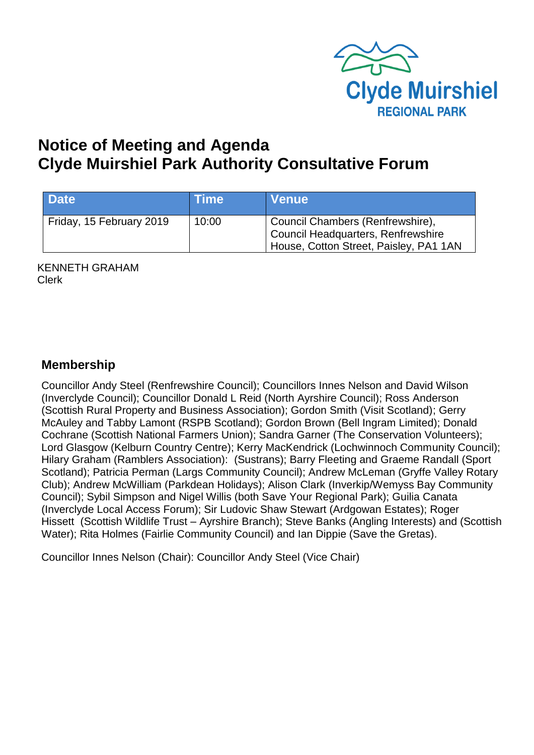

# **Notice of Meeting and Agenda Clyde Muirshiel Park Authority Consultative Forum**

| <b>Date</b>              | <b>Time</b> | <b>Venue</b>                                                                                                     |
|--------------------------|-------------|------------------------------------------------------------------------------------------------------------------|
| Friday, 15 February 2019 | 10:00       | Council Chambers (Renfrewshire),<br>Council Headquarters, Renfrewshire<br>House, Cotton Street, Paisley, PA1 1AN |

KENNETH GRAHAM Clerk

#### **Membership**

Councillor Andy Steel (Renfrewshire Council); Councillors Innes Nelson and David Wilson (Inverclyde Council); Councillor Donald L Reid (North Ayrshire Council); Ross Anderson (Scottish Rural Property and Business Association); Gordon Smith (Visit Scotland); Gerry McAuley and Tabby Lamont (RSPB Scotland); Gordon Brown (Bell Ingram Limited); Donald Cochrane (Scottish National Farmers Union); Sandra Garner (The Conservation Volunteers); Lord Glasgow (Kelburn Country Centre); Kerry MacKendrick (Lochwinnoch Community Council); Hilary Graham (Ramblers Association): (Sustrans); Barry Fleeting and Graeme Randall (Sport Scotland); Patricia Perman (Largs Community Council); Andrew McLeman (Gryffe Valley Rotary Club); Andrew McWilliam (Parkdean Holidays); Alison Clark (Inverkip/Wemyss Bay Community Council); Sybil Simpson and Nigel Willis (both Save Your Regional Park); Guilia Canata (Inverclyde Local Access Forum); Sir Ludovic Shaw Stewart (Ardgowan Estates); Roger Hissett (Scottish Wildlife Trust – Ayrshire Branch); Steve Banks (Angling Interests) and (Scottish Water); Rita Holmes (Fairlie Community Council) and Ian Dippie (Save the Gretas).

Councillor Innes Nelson (Chair): Councillor Andy Steel (Vice Chair)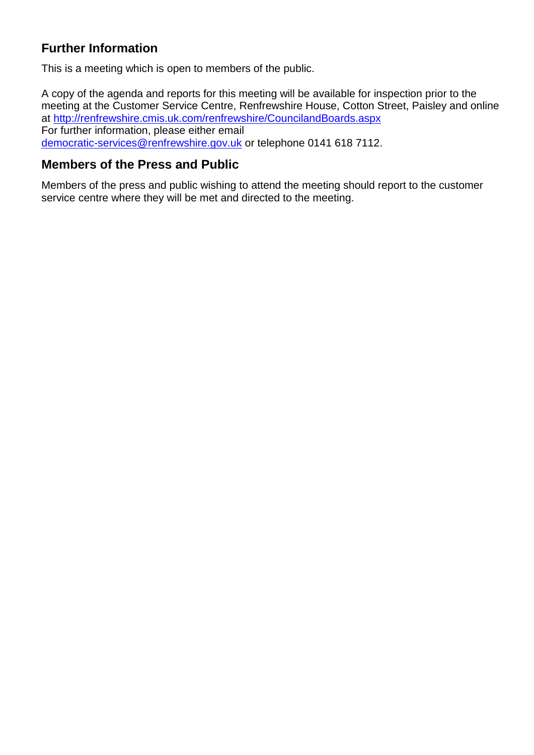## **Further Information**

This is a meeting which is open to members of the public.

A copy of the agenda and reports for this meeting will be available for inspection prior to the meeting at the Customer Service Centre, Renfrewshire House, Cotton Street, Paisley and online at <http://renfrewshire.cmis.uk.com/renfrewshire/CouncilandBoards.aspx> For further information, please either email [democratic-services@renfrewshire.gov.uk](mailto:democratic-services@renfrewshire.gov.uk) or telephone 0141 618 7112.

### **Members of the Press and Public**

Members of the press and public wishing to attend the meeting should report to the customer service centre where they will be met and directed to the meeting.